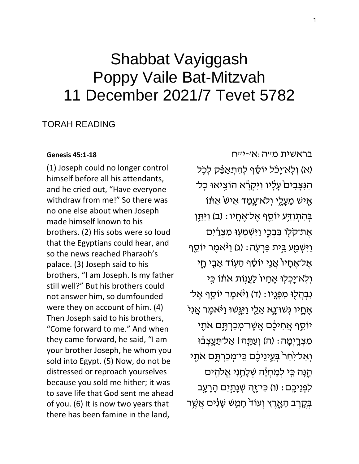# Shabbat Vayiggash Poppy Vaile Bat-Mitzvah 11 December 2021/7 Tevet 5782

## **TORAH READING**

#### **Genesis 45:1-18**

(1) Joseph could no longer control himself before all his attendants, and he cried out, "Have everyone withdraw from me!" So there was no one else about when Joseph made himself known to his brothers. (2) His sobs were so loud that the Egyptians could hear, and so the news reached Pharaoh's palace. (3) Joseph said to his brothers, "I am Joseph. Is my father still well?" But his brothers could not answer him, so dumfounded were they on account of him. (4) Then Joseph said to his brothers, "Come forward to me." And when they came forward, he said, "I am your brother Joseph, he whom you sold into Egypt. (5) Now, do not be distressed or reproach yourselves because you sold me hither; it was to save life that God sent me ahead of you. (6) It is now two years that there has been famine in the land,

בראשית מייה:אי-יייח (א) וְלָא־יַכֹּל יוֹסֵף לְהִתְאַפֶּק לְכָל ּהַנִּצָּבִיםֹ עָלָיו וַיִּקְרָّא הוֹצִיאוּ כָל־ אָיש מֵעָלֶי וִלא־עָמַד אִישׂ אִתּוֹ בְּהִתְ<u>ּוַדְ</u>ע יוֹסֵף אֱל־אֶחֶיו: (ב) וַיִּתֵּן אֵת־קלִו בִּבְכֵי וַיִּשְׁמִעְוּ מִצְרַיִּם ַוַיִּשְׁמַֻע בֵּית פַּרְעָה: (ג) וַיּּאמֶר יוֹסֵף אֱל־אֱחָיוֹ אֲנֵי יוֹסֶף הַעְוֹד אֲבֵי חֵי וְלְאֹ־יָכְלִוּ אֶחָיוֹ לַעֲנָוֹת אֹתֹוֹ כִּי ּנִבְהַלְוּ מִפְּנֵיו : (ד) וַיּּאמֵר יוֹסֵף אֵל־ אֶחֶיו גְּשׁוּ־נָא אֵלֵי וַיִּגְּשׁוּ וַיֹּאמֶר אֲנִי יוֹסֵף אֲחִיכֶּם אֲשֶׁר־מְכַרְתֶּם אֹתֻי מִצְרֶיְמָה : (ה) וְעַתָּה | אֲל־תֵּעֲצְבֹוּ וְאַל־יִּחַרֹ בְּעֵינֵיבֶם כֵּי־מְכַרְתֶּם אֹתֻי ּהֱנָּה בְּי לְמֶחְיָּה שְׁלָחַנִי אֱלֹהֻים לְפְגֵיכֵם : (ו) כִּי־יֶּהָ שְׁנָתַּיִם הָרָעֻב בְּקֵרֶב הָאֲרֶץ וְעוֹד חָמֱשׁ שַׁנְיִם אֲשֱר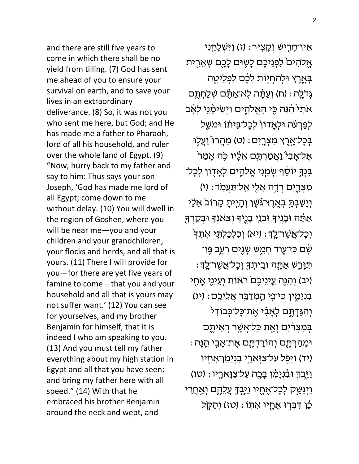and there are still five years to come in which there shall be no yield from tilling. (7) God has sent me ahead of you to ensure your survival on earth, and to save your lives in an extraordinary deliverance. (8) So, it was not you who sent me here, but God; and He has made me a father to Pharaoh, lord of all his household, and ruler over the whole land of Egypt. (9) "Now, hurry back to my father and say to him: Thus says your son Joseph, 'God has made me lord of all Egypt; come down to me without delay. (10) You will dwell in the region of Goshen, where you will be near me—you and your children and your grandchildren, your flocks and herds, and all that is yours. (11) There I will provide for you—for there are yet five years of famine to come—that you and your household and all that is yours may not suffer want.' (12) You can see for yourselves, and my brother Benjamin for himself, that it is indeed I who am speaking to you. (13) And you must tell my father everything about my high station in Egypt and all that you have seen; and bring my father here with all speed." (14) With that he embraced his brother Benjamin around the neck and wept, and

אֵין־חָרָישׁ וְקָצִיר: (ז) וַיִּשְׁלָחֵנִי אֱלֹהִיםׂ לִפְנֵיכֶם לָשָׂוּם לָכֶם שְׁאֵרֻית ּבָּאֶרֶץ וּלְהַחֲיָוֹת לָכֶם לִפְלֵיטָה גְּדֹלֶה׃ (ח) וְעַתָּ֫ה לְאֹ־אַתֶּٔם שְׁלַחְתֶּם אתִי הֵנָּה כֻּי הָאֱלֹהֶים וַיְשִׂימֵٰנֵי לְאָ<del>ֹ</del>ב לְפַרְעֹׁה וּלְאָדוֹן לְכְל־בֵּיתוֹ וּמשֵׁל בְּכָל־אֶרֶץ מִצְרָיִם: (ט) מַהֲרוּ <u>וַ</u>עֲלָוּ ֹאֶל־אָבִי ֿוַאֲמַרְתֶּם אֵלָיו כָּה אָמַר בִּנְךָ יוֹסֵׁף שָׂמַנִי אֱלֹהֶים לְאָדָוֹן לְכָל־ מִצְרֶיִם רְדָה אֵלַי אַל־תַּעֲמִד: (י) וְיָשַׁבְתָּ בְאֶרֶץ־גֹּשֶׁן וְהָיָיתָ קָרוֹבֹ אֵלַי אַתָּה וּבְנֶיךָ וּבְנֵי בָנֶיךָ וְצֹאנְךָ וּבְקָרְךָ ֿוְכָל־אֲשֶׁר־לֶךָ : (יא) וְכִלְכַּלְתֵּי אִתְךֹּ ֿשָׁם כִּי־עֶוֹד חָמֵ֥שׁ שָׂנֻים רָעֶב פֶּן־ ּתִּנְרֵשׁ אַתֲה וּבֵיתְךָּ וְכָל־אֲשֶׁר־לָךָ ּ יב) וְהִגְּה עֵינֵיכֶם רֹאוֹת וְעֵינֵי אָחָי ֹבִנְיָמֶין כִּי־פֻי הַמְדַבֵּר אֲלֵיכֶם : (יג) וְהִגַּדְתֶּם לְאָבִ֫י אֶת־כָּל־כְּבוֹדִי בִּמְצְרַיִּם וְאֶת כָּל־אֲשֱר רִאִיתֱם ּוּמִהַרְתֶֶּם וְהֹוֹרַדְתֶּם אֶת־אָבֶי הֵנָּה יד) וַיִּפֶּל עַל־צַוְארֵי בִנְיָמֵן־אָחֻיו) ֿוַיֵּבְדְ וּבִּ֫נְיָמִ֫ו בָּבֻה עַל־צַוָּארָיו : (טו) וַיְנַשֵּׁק לְכָל־אֶחֶיו וַיֵּבְדָ עֲלֵהֱם וְאַחֲרֵי ֹכֶּן דִּבְרָוּ אֶחֶיו אִתְּוֹ: (טז) וְהַקָּל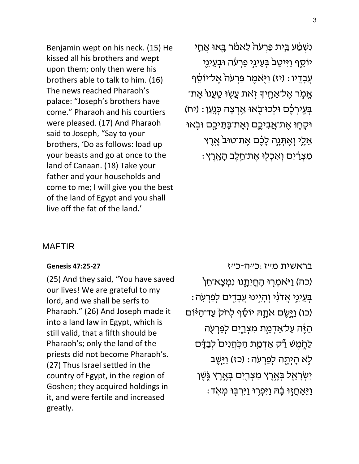Benjamin wept on his neck. (15) He kissed all his brothers and wept upon them; only then were his brothers able to talk to him. (16) The news reached Pharaoh's palace: "Joseph's brothers have come." Pharaoh and his courtiers were pleased. (17) And Pharaoh said to Joseph, "Say to your brothers, 'Do as follows: load up your beasts and go at once to the land of Canaan. (18) Take your father and your households and come to me; I will give you the best of the land of Egypt and you shall live off the fat of the land.'

נִשְׁמַע בֵּית פַּרְעֹה לֵאמֹר בָּאוּ אֲחֵי יֹוֹסֵף וַיִּיטַבֹּ בְּעֵינֵי פַרְעֹה וּבְעֵינֵי עֲבָדֶיו : (יז) וַיֶּאמֶר פַּרְעֹה אֶל־יוֹסֵף ּאֱמָׂר אֶל־אַחֶיךָּ זָאת עֲשֶׂוּ טַעֲנוּׂ אֶת־ בְּעְיִרְכֶ֖ם וּלְכוּ־בָאוּ אַרְצָה כְּנָעַן : (יח) ּוּקְחָוּ אֶת־אֲבִיכֶם וְאֶת־בָּתֵיכֶם וּבָאוּ אֵלֶי וְאֶתְּנָה לָכֶם אֶת־טוּבֹ אֱרֶץ ּמְצְרַיִּם וְאִכְלִוּ אֵת־חֱלֵב הָאֶרֵץ:

## MAFTIR

### **[Genesis 47:25-27](https://www.sefaria.org/Genesis.47.25-27)**

(25) And they said, "You have saved our lives! We are grateful to my lord, and we shall be serfs to Pharaoh." (26) And Joseph made it into a land law in Egypt, which is still valid, that a fifth should be Pharaoh's; only the land of the priests did not become Pharaoh's. (27) Thus Israel settled in the country of Egypt, in the region of Goshen; they acquired holdings in it, and were fertile and increased greatly.

[בראשית](https://www.sefaria.org/Genesis.47.25-27) [מ״ז:כ״ה-כ״ז](https://www.sefaria.org/Genesis.47.25-27) (כה) וַיֹּאמְרָוּ הֶחֱיִתָֽנוּ נִמְצָא־חֵן : בְּעֵינֵי אֲדֹנִי וְהָיִינוּ עֲבָדֶים לְפַרְעָׂה (כו) וַיְיֶשֶׂם אֹתָהּ יוֹסֵיף לְחֹק<sup>ָּ</sup> עַד־הַיּּוֹם הַ אֶה עַל־אַדְמַ*ֶּ*ת מִצְרֵיִם לְפַרְעָה לַחֶמֶשׁ רַק אַדְמַת הַכְּהֲנִים לְבַדָּם לְא הָיְתָה לְפַרְעְה: (כז) ו<u>ַי</u>ְּשֶֽב יִשְׂרָאֶל בְּאֶרֶץ מִצְרֵיִם בְּאֱרֶץ גֶּשֶׁן ּוַיֵּאָחֲזָוּ בָה וַיִּפְרִוּ וַיִּרְבָּוּ מְאָד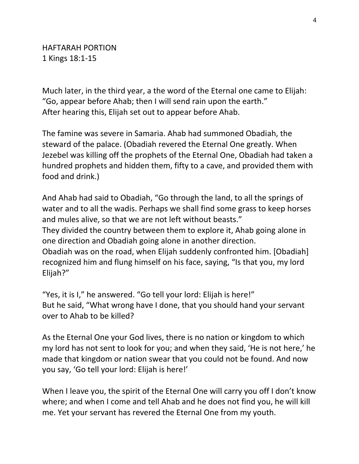Much later, in the third year, a the word of the Eternal one came to Elijah: "Go, appear before Ahab; then I will send rain upon the earth." After hearing this, Elijah set out to appear before Ahab.

The famine was severe in Samaria. Ahab had summoned Obadiah, the steward of the palace. (Obadiah revered the Eternal One greatly. When Jezebel was killing off the prophets of the Eternal One, Obadiah had taken a hundred prophets and hidden them, fifty to a cave, and provided them with food and drink.)

And Ahab had said to Obadiah, "Go through the land, to all the springs of water and to all the wadis. Perhaps we shall find some grass to keep horses and mules alive, so that we are not left without beasts." They divided the country between them to explore it, Ahab going alone in one direction and Obadiah going alone in another direction. Obadiah was on the road, when Elijah suddenly confronted him. [Obadiah] recognized him and flung himself on his face, saying, "Is that you, my lord Elijah?"

"Yes, it is I," he answered. "Go tell your lord: Elijah is here!" But he said, "What wrong have I done, that you should hand your servant over to Ahab to be killed?

As the Eternal One your God lives, there is no nation or kingdom to which my lord has not sent to look for you; and when they said, 'He is not here,' he made that kingdom or nation swear that you could not be found. And now you say, 'Go tell your lord: Elijah is here!'

When I leave you, the spirit of the Eternal One will carry you off I don't know where; and when I come and tell Ahab and he does not find you, he will kill me. Yet your servant has revered the Eternal One from my youth.